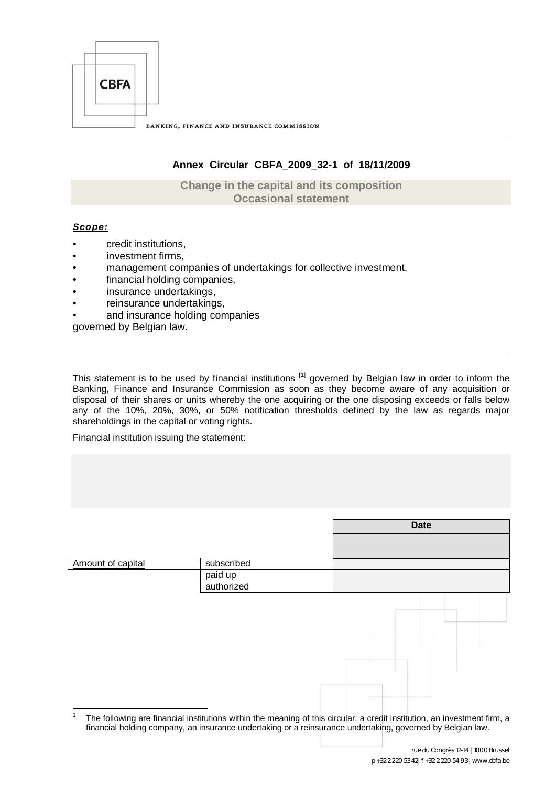

# **Annex Circular CBFA\_2009\_32-1 of 18/11/2009**

**Change in the capital and its composition Occasional statement**

## *Scope:*

 $\frac{1}{1}$ 

- credit institutions,
- investment firms,
- management companies of undertakings for collective investment,
- financial holding companies,
- insurance undertakings,
- reinsurance undertakings,
- and insurance holding companies

governed by Belgian law.

This statement is to be used by financial institutions [1] [g](#page-0-0)overned by Belgian law in order to inform the Banking, Finance and Insurance Commission as soon as they become aware of any acquisition or disposal of their shares or units whereby the one acquiring or the one disposing exceeds or falls below any of the 10%, 20%, 30%, or 50% notification thresholds defined by the law as regards major shareholdings in the capital or voting rights.

Financial institution issuing the statement:

|                   |            | <b>Date</b> |
|-------------------|------------|-------------|
|                   |            |             |
| Amount of capital | subscribed |             |
|                   | paid up    |             |
|                   | authorized |             |
|                   |            |             |

<span id="page-0-0"></span>The following are financial institutions within the meaning of this circular: a credit institution, an investment firm, a financial holding company, an insurance undertaking or a reinsurance undertaking, governed by Belgian law.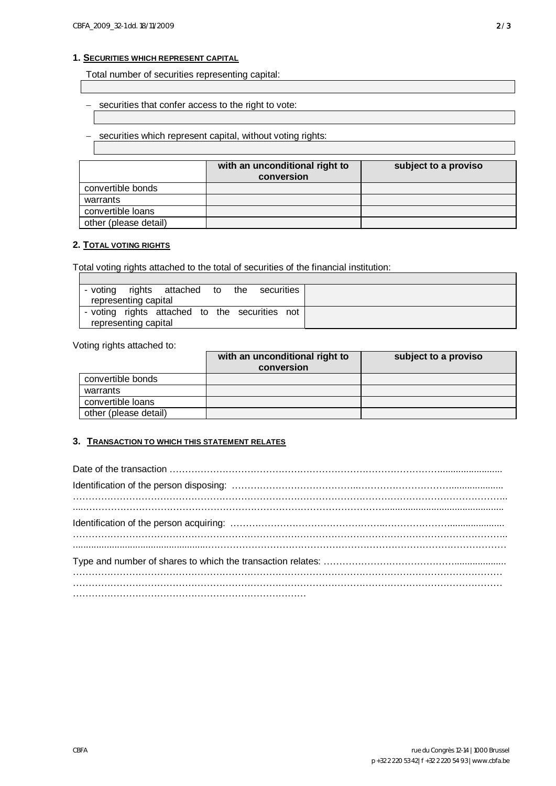## **1. SECURITIES WHICH REPRESENT CAPITAL**

Total number of securities representing capital:

- securities that confer access to the right to vote:

securities which represent capital, without voting rights:

|                       | with an unconditional right to<br>conversion | subject to a proviso |
|-----------------------|----------------------------------------------|----------------------|
| convertible bonds     |                                              |                      |
| warrants              |                                              |                      |
| convertible loans     |                                              |                      |
| other (please detail) |                                              |                      |

## **2. TOTAL VOTING RIGHTS**

Total voting rights attached to the total of securities of the financial institution:

| - voting |                      | rights attached to the                         |  | securities |  |
|----------|----------------------|------------------------------------------------|--|------------|--|
|          | representing capital |                                                |  |            |  |
|          |                      | - voting rights attached to the securities not |  |            |  |
|          | representing capital |                                                |  |            |  |

Voting rights attached to:

|                       | with an unconditional right to<br>conversion | subject to a proviso |
|-----------------------|----------------------------------------------|----------------------|
| convertible bonds     |                                              |                      |
| warrants              |                                              |                      |
| convertible loans     |                                              |                      |
| other (please detail) |                                              |                      |

#### **3. TRANSACTION TO WHICH THIS STATEMENT RELATES**